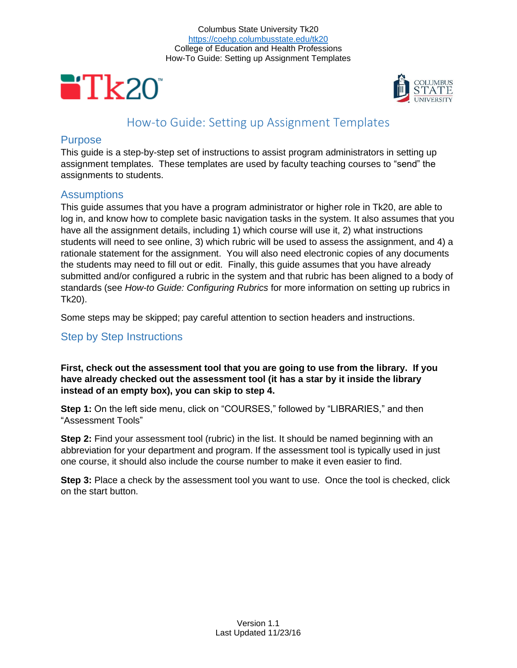



# How-to Guide: Setting up Assignment Templates

# **Purpose**

This guide is a step-by-step set of instructions to assist program administrators in setting up assignment templates. These templates are used by faculty teaching courses to "send" the assignments to students.

# **Assumptions**

This guide assumes that you have a program administrator or higher role in Tk20, are able to log in, and know how to complete basic navigation tasks in the system. It also assumes that you have all the assignment details, including 1) which course will use it, 2) what instructions students will need to see online, 3) which rubric will be used to assess the assignment, and 4) a rationale statement for the assignment. You will also need electronic copies of any documents the students may need to fill out or edit. Finally, this guide assumes that you have already submitted and/or configured a rubric in the system and that rubric has been aligned to a body of standards (see *How-to Guide: Configuring Rubrics* for more information on setting up rubrics in Tk20).

Some steps may be skipped; pay careful attention to section headers and instructions.

# Step by Step Instructions

**First, check out the assessment tool that you are going to use from the library. If you have already checked out the assessment tool (it has a star by it inside the library instead of an empty box), you can skip to step 4.**

**Step 1:** On the left side menu, click on "COURSES," followed by "LIBRARIES," and then "Assessment Tools"

**Step 2:** Find your assessment tool (rubric) in the list. It should be named beginning with an abbreviation for your department and program. If the assessment tool is typically used in just one course, it should also include the course number to make it even easier to find.

**Step 3:** Place a check by the assessment tool you want to use. Once the tool is checked, click on the start button.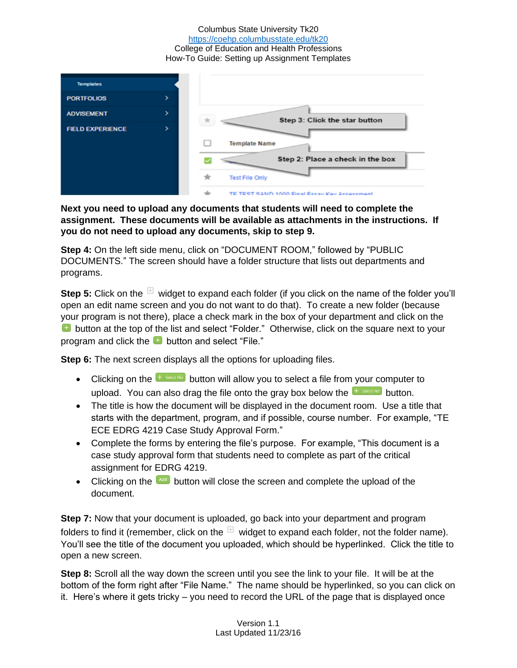

**Next you need to upload any documents that students will need to complete the assignment. These documents will be available as attachments in the instructions. If you do not need to upload any documents, skip to step 9.**

**Step 4:** On the left side menu, click on "DOCUMENT ROOM," followed by "PUBLIC DOCUMENTS." The screen should have a folder structure that lists out departments and programs.

**Step 5:** Click on the  $\Box$  widget to expand each folder (if you click on the name of the folder you'll open an edit name screen and you do not want to do that). To create a new folder (because your program is not there), place a check mark in the box of your department and click on the **E** button at the top of the list and select "Folder." Otherwise, click on the square next to your program and click the  $\Box$  button and select "File."

**Step 6:** The next screen displays all the options for uploading files.

- Clicking on the  $\frac{1}{2}$  select file button will allow you to select a file from your computer to upload. You can also drag the file onto the gray box below the  $\frac{1}{2}$  select file button.
- The title is how the document will be displayed in the document room. Use a title that starts with the department, program, and if possible, course number. For example, "TE ECE EDRG 4219 Case Study Approval Form."
- Complete the forms by entering the file's purpose. For example, "This document is a case study approval form that students need to complete as part of the critical assignment for EDRG 4219.
- Clicking on the  $\begin{bmatrix} 4d & 0 \\ 0 & 0 \end{bmatrix}$  button will close the screen and complete the upload of the document.

**Step 7:** Now that your document is uploaded, go back into your department and program folders to find it (remember, click on the  $H$  widget to expand each folder, not the folder name). You'll see the title of the document you uploaded, which should be hyperlinked. Click the title to open a new screen.

**Step 8:** Scroll all the way down the screen until you see the link to your file. It will be at the bottom of the form right after "File Name." The name should be hyperlinked, so you can click on it. Here's where it gets tricky – you need to record the URL of the page that is displayed once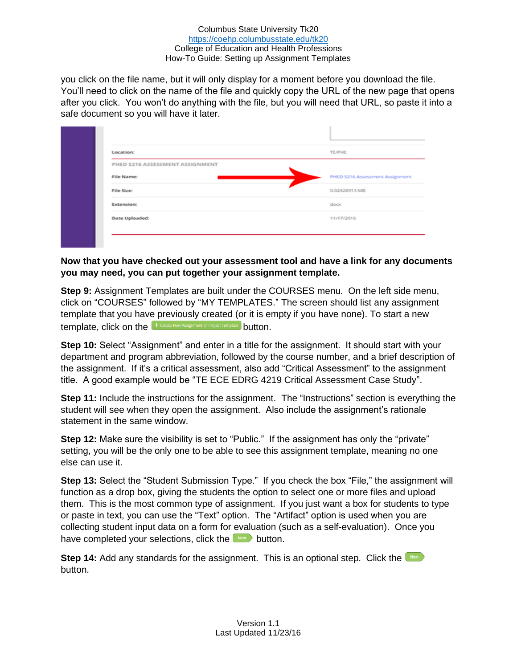you click on the file name, but it will only display for a moment before you download the file. You'll need to click on the name of the file and quickly copy the URL of the new page that opens after you click. You won't do anything with the file, but you will need that URL, so paste it into a safe document so you will have it later.

| Location:                       | TE/PHE                          |
|---------------------------------|---------------------------------|
| PHED 5216 ASSESSMENT ASSIGNMENT |                                 |
| File Name:                      | PHED 5216 Assessment Assignment |
| File Size:                      | 0.02428913 MB                   |
| <b>Extension:</b>               | docx                            |
| Date Uploaded:                  | 11/17/2016                      |

### **Now that you have checked out your assessment tool and have a link for any documents you may need, you can put together your assignment template.**

**Step 9:** Assignment Templates are built under the COURSES menu. On the left side menu, click on "COURSES" followed by "MY TEMPLATES." The screen should list any assignment template that you have previously created (or it is empty if you have none). To start a new template, click on the  $\left[ + \frac{1}{2}$  Create New Assignment or Project Template button.

**Step 10:** Select "Assignment" and enter in a title for the assignment. It should start with your department and program abbreviation, followed by the course number, and a brief description of the assignment. If it's a critical assessment, also add "Critical Assessment" to the assignment title. A good example would be "TE ECE EDRG 4219 Critical Assessment Case Study".

**Step 11:** Include the instructions for the assignment. The "Instructions" section is everything the student will see when they open the assignment. Also include the assignment's rationale statement in the same window.

**Step 12:** Make sure the visibility is set to "Public." If the assignment has only the "private" setting, you will be the only one to be able to see this assignment template, meaning no one else can use it.

**Step 13:** Select the "Student Submission Type." If you check the box "File," the assignment will function as a drop box, giving the students the option to select one or more files and upload them. This is the most common type of assignment. If you just want a box for students to type or paste in text, you can use the "Text" option. The "Artifact" option is used when you are collecting student input data on a form for evaluation (such as a self-evaluation). Once you have completed your selections, click the  $\Box$  button.

**Step 14:** Add any standards for the assignment. This is an optional step. Click the **NEX** button.